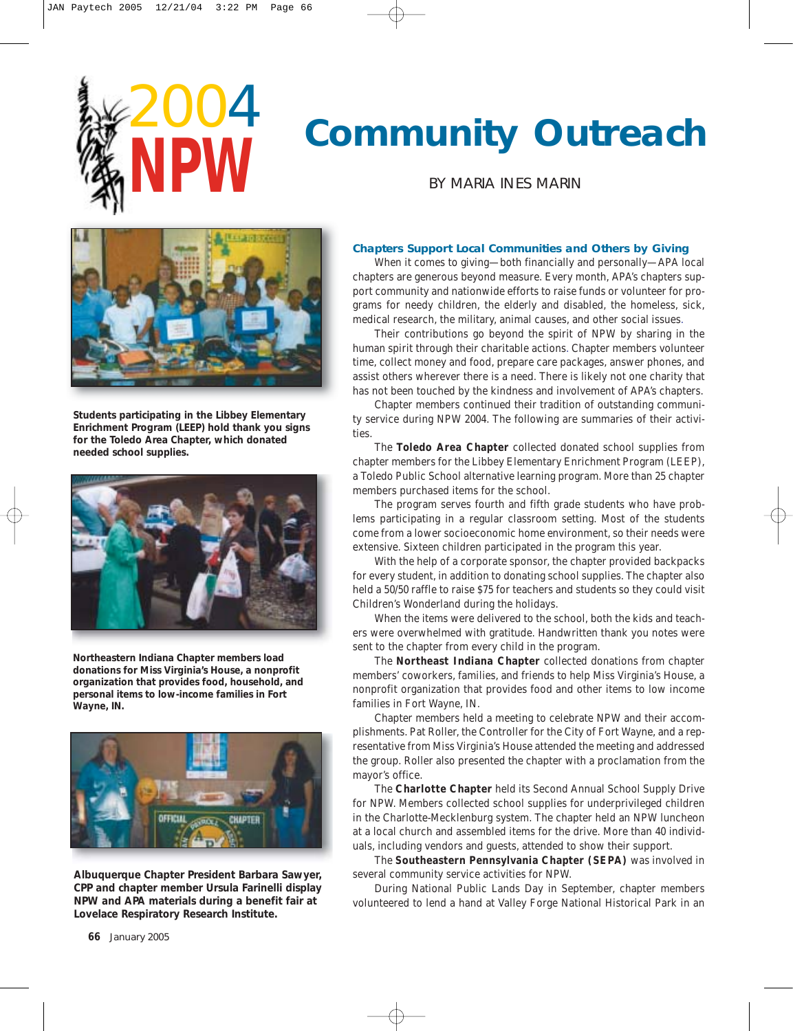2004

**NPW**



BY MARIA INES MARIN



**Students participating in the Libbey Elementary Enrichment Program (LEEP) hold thank you signs for the Toledo Area Chapter, which donated needed school supplies.**



**Northeastern Indiana Chapter members load donations for Miss Virginia's House, a nonprofit organization that provides food, household, and personal items to low-income families in Fort Wayne, IN.**



**Albuquerque Chapter President Barbara Sawyer, CPP and chapter member Ursula Farinelli display NPW and APA materials during a benefit fair at Lovelace Respiratory Research Institute.**

## **Chapters Support Local Communities and Others by Giving**

When it comes to giving—both financially and personally—APA local chapters are generous beyond measure. Every month, APA's chapters support community and nationwide efforts to raise funds or volunteer for programs for needy children, the elderly and disabled, the homeless, sick, medical research, the military, animal causes, and other social issues.

Their contributions go beyond the spirit of NPW by sharing in the human spirit through their charitable actions. Chapter members volunteer time, collect money and food, prepare care packages, answer phones, and assist others wherever there is a need. There is likely not one charity that has not been touched by the kindness and involvement of APA's chapters.

Chapter members continued their tradition of outstanding community service during NPW 2004. The following are summaries of their activities.

The **Toledo Area Chapter** collected donated school supplies from chapter members for the Libbey Elementary Enrichment Program (LEEP), a Toledo Public School alternative learning program. More than 25 chapter members purchased items for the school.

The program serves fourth and fifth grade students who have problems participating in a regular classroom setting. Most of the students come from a lower socioeconomic home environment, so their needs were extensive. Sixteen children participated in the program this year.

With the help of a corporate sponsor, the chapter provided backpacks for every student, in addition to donating school supplies. The chapter also held a 50/50 raffle to raise \$75 for teachers and students so they could visit Children's Wonderland during the holidays.

When the items were delivered to the school, both the kids and teachers were overwhelmed with gratitude. Handwritten thank you notes were sent to the chapter from every child in the program.

The **Northeast Indiana Chapter** collected donations from chapter members' coworkers, families, and friends to help Miss Virginia's House, a nonprofit organization that provides food and other items to low income families in Fort Wayne, IN.

Chapter members held a meeting to celebrate NPW and their accomplishments. Pat Roller, the Controller for the City of Fort Wayne, and a representative from Miss Virginia's House attended the meeting and addressed the group. Roller also presented the chapter with a proclamation from the mayor's office.

The **Charlotte Chapter** held its Second Annual School Supply Drive for NPW. Members collected school supplies for underprivileged children in the Charlotte-Mecklenburg system. The chapter held an NPW luncheon at a local church and assembled items for the drive. More than 40 individuals, including vendors and guests, attended to show their support.

The **Southeastern Pennsylvania Chapter (SEPA)** was involved in several community service activities for NPW.

During National Public Lands Day in September, chapter members volunteered to lend a hand at Valley Forge National Historical Park in an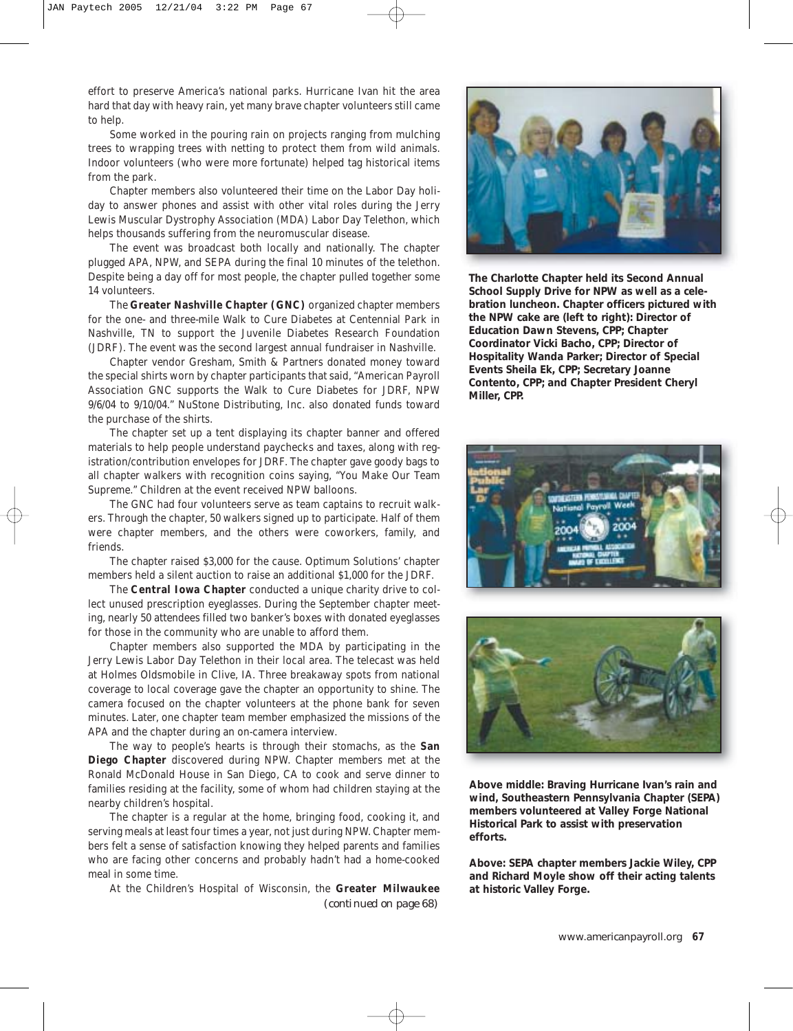effort to preserve America's national parks. Hurricane Ivan hit the area hard that day with heavy rain, yet many brave chapter volunteers still came to help.

Some worked in the pouring rain on projects ranging from mulching trees to wrapping trees with netting to protect them from wild animals. Indoor volunteers (who were more fortunate) helped tag historical items from the park.

Chapter members also volunteered their time on the Labor Day holiday to answer phones and assist with other vital roles during the Jerry Lewis Muscular Dystrophy Association (MDA) Labor Day Telethon, which helps thousands suffering from the neuromuscular disease.

The event was broadcast both locally and nationally. The chapter plugged APA, NPW, and SEPA during the final 10 minutes of the telethon. Despite being a day off for most people, the chapter pulled together some 14 volunteers.

The **Greater Nashville Chapter (GNC)** organized chapter members for the one- and three-mile Walk to Cure Diabetes at Centennial Park in Nashville, TN to support the Juvenile Diabetes Research Foundation (JDRF). The event was the second largest annual fundraiser in Nashville.

Chapter vendor Gresham, Smith & Partners donated money toward the special shirts worn by chapter participants that said, "American Payroll Association GNC supports the Walk to Cure Diabetes for JDRF, NPW 9/6/04 to 9/10/04." NuStone Distributing, Inc. also donated funds toward the purchase of the shirts.

The chapter set up a tent displaying its chapter banner and offered materials to help people understand paychecks and taxes, along with registration/contribution envelopes for JDRF. The chapter gave goody bags to all chapter walkers with recognition coins saying, "You Make Our Team Supreme." Children at the event received NPW balloons.

The GNC had four volunteers serve as team captains to recruit walkers. Through the chapter, 50 walkers signed up to participate. Half of them were chapter members, and the others were coworkers, family, and friends.

The chapter raised \$3,000 for the cause. Optimum Solutions' chapter members held a silent auction to raise an additional \$1,000 for the JDRF.

The **Central Iowa Chapter** conducted a unique charity drive to collect unused prescription eyeglasses. During the September chapter meeting, nearly 50 attendees filled two banker's boxes with donated eyeglasses for those in the community who are unable to afford them.

Chapter members also supported the MDA by participating in the Jerry Lewis Labor Day Telethon in their local area. The telecast was held at Holmes Oldsmobile in Clive, IA. Three breakaway spots from national coverage to local coverage gave the chapter an opportunity to shine. The camera focused on the chapter volunteers at the phone bank for seven minutes. Later, one chapter team member emphasized the missions of the APA and the chapter during an on-camera interview.

The way to people's hearts is through their stomachs, as the **San Diego Chapter** discovered during NPW. Chapter members met at the Ronald McDonald House in San Diego, CA to cook and serve dinner to families residing at the facility, some of whom had children staying at the nearby children's hospital.

The chapter is a regular at the home, bringing food, cooking it, and serving meals at least four times a year, not just during NPW. Chapter members felt a sense of satisfaction knowing they helped parents and families who are facing other concerns and probably hadn't had a home-cooked meal in some time.

At the Children's Hospital of Wisconsin, the **Greater Milwaukee** *(continued on page 68)*



**The Charlotte Chapter held its Second Annual School Supply Drive for NPW as well as a celebration luncheon. Chapter officers pictured with the NPW cake are (left to right): Director of Education Dawn Stevens, CPP; Chapter Coordinator Vicki Bacho, CPP; Director of Hospitality Wanda Parker; Director of Special Events Sheila Ek, CPP; Secretary Joanne Contento, CPP; and Chapter President Cheryl Miller, CPP.**





**Above middle: Braving Hurricane Ivan's rain and wind, Southeastern Pennsylvania Chapter (SEPA) members volunteered at Valley Forge National Historical Park to assist with preservation efforts.**

**Above: SEPA chapter members Jackie Wiley, CPP and Richard Moyle show off their acting talents at historic Valley Forge.**